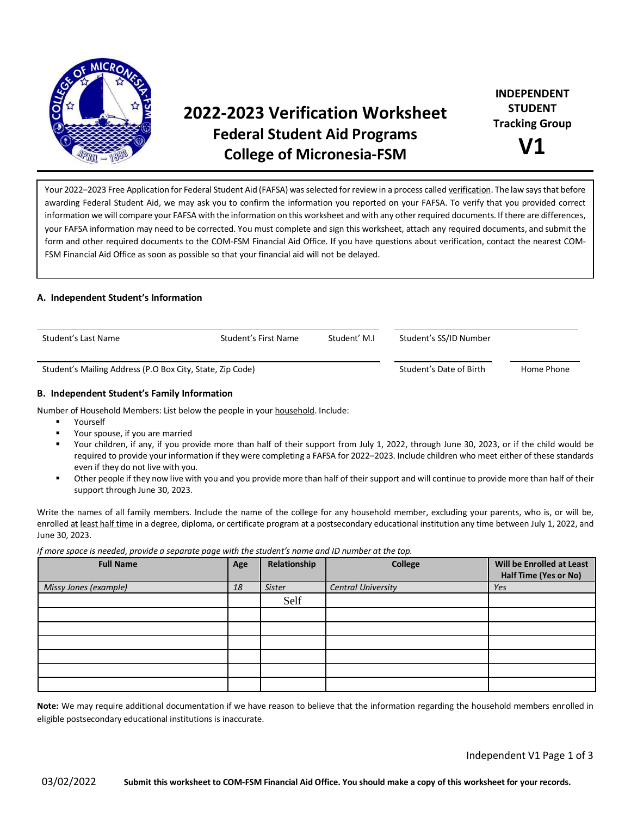

# **2022-2023 Verification Worksheet Federal Student Aid Programs College of Micronesia-FSM**

Your 2022–2023 Free Application for Federal Student Aid (FAFSA) was selected for review in a process called verification. The law says that before awarding Federal Student Aid, we may ask you to confirm the information you reported on your FAFSA. To verify that you provided correct information we will compare your FAFSA with the information on this worksheet and with any other required documents. If there are differences, your FAFSA information may need to be corrected. You must complete and sign this worksheet, attach any required documents, and submit the form and other required documents to the COM-FSM Financial Aid Office. If you have questions about verification, contact the nearest COM-FSM Financial Aid Office as soon as possible so that your financial aid will not be delayed.

## **A. Independent Student's Information**

| Student's Last Name                                       | Student's First Name<br>Student' M.I |            | Student's SS/ID Number |  |
|-----------------------------------------------------------|--------------------------------------|------------|------------------------|--|
| Student's Mailing Address (P.O Box City, State, Zip Code) | Student's Date of Birth              | Home Phone |                        |  |

## **B. Independent Student's Family Information**

Number of Household Members: List below the people in your household. Include:

- Yourself
- Your spouse, if you are married
- Your children, if any, if you provide more than half of their support from July 1, 2022, through June 30, 2023, or if the child would be required to provide your information if they were completing a FAFSA for 2022–2023. Include children who meet either of these standards even if they do not live with you.
- Other people if they now live with you and you provide more than half of their support and will continue to provide more than half of their support through June 30, 2023.

Write the names of all family members. Include the name of the college for any household member, excluding your parents, who is, or will be, enrolled at least half time in a degree, diploma, or certificate program at a postsecondary educational institution any time between July 1, 2022, and June 30, 2023.

*If more space is needed, provide a separate page with the student's name and ID number at the top.*

| <b>Full Name</b>      | Age | Relationship  | College                   | Will be Enrolled at Least<br>Half Time (Yes or No) |
|-----------------------|-----|---------------|---------------------------|----------------------------------------------------|
| Missy Jones (example) | 18  | <b>Sister</b> | <b>Central University</b> | Yes                                                |
|                       |     | Self          |                           |                                                    |
|                       |     |               |                           |                                                    |
|                       |     |               |                           |                                                    |
|                       |     |               |                           |                                                    |
|                       |     |               |                           |                                                    |
|                       |     |               |                           |                                                    |
|                       |     |               |                           |                                                    |

**Note:** We may require additional documentation if we have reason to believe that the information regarding the household members enrolled in eligible postsecondary educational institutions is inaccurate.

Independent V1 Page 1 of 3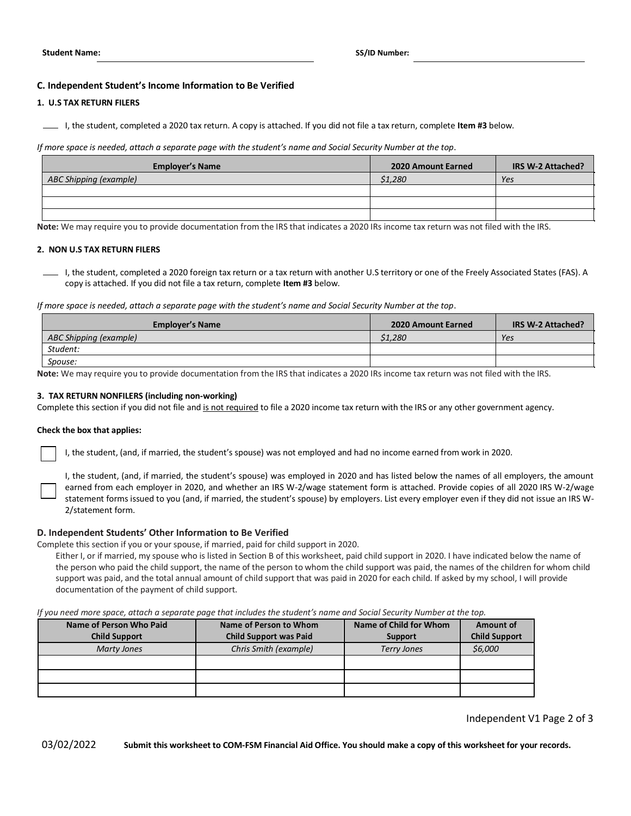## **C. Independent Student's Income Information to Be Verified**

#### **1. U.S TAX RETURN FILERS**

I, the student, completed a 2020 tax return. A copy is attached. If you did not file a tax return, complete **Item #3** below.

*If more space is needed, attach a separate page with the student's name and Social Security Number at the top*.

| <b>Employer's Name</b> | 2020 Amount Earned | IRS W-2 Attached? |
|------------------------|--------------------|-------------------|
| ABC Shipping (example) | \$1,280            | Yes               |
|                        |                    |                   |
|                        |                    |                   |
|                        |                    |                   |

**Note:** We may require you to provide documentation from the IRS that indicates a 2020 IRs income tax return was not filed with the IRS.

#### **2. NON U.S TAX RETURN FILERS**

I, the student, completed a 2020 foreign tax return or a tax return with another U.S territory or one of the Freely Associated States (FAS). A copy is attached. If you did not file a tax return, complete **Item #3** below.

*If more space is needed, attach a separate page with the student's name and Social Security Number at the top*.

| <b>2020 Amount Earned</b> | <b>IRS W-2 Attached?</b> |
|---------------------------|--------------------------|
| \$1,280                   | Yes                      |
|                           |                          |
|                           |                          |
|                           |                          |

**Note:** We may require you to provide documentation from the IRS that indicates a 2020 IRs income tax return was not filed with the IRS.

#### **3. TAX RETURN NONFILERS (including non-working)**

Complete this section if you did not file and is not required to file a 2020 income tax return with the IRS or any other government agency.

#### **Check the box that applies:**

| ╽ |  |
|---|--|
|   |  |
|   |  |
|   |  |
|   |  |
|   |  |
|   |  |
|   |  |
|   |  |
|   |  |
|   |  |
|   |  |
|   |  |
|   |  |

I, the student, (and, if married, the student's spouse) was not employed and had no income earned from work in 2020.

I, the student, (and, if married, the student's spouse) was employed in 2020 and has listed below the names of all employers, the amount earned from each employer in 2020, and whether an IRS W-2/wage statement form is attached. Provide copies of all 2020 IRS W-2/wage statement forms issued to you (and, if married, the student's spouse) by employers. List every employer even if they did not issue an IRS W-2/statement form.

#### **D. Independent Students' Other Information to Be Verified**

Complete this section if you or your spouse, if married, paid for child support in 2020.

Either I, or if married, my spouse who is listed in Section B of this worksheet, paid child support in 2020. I have indicated below the name of the person who paid the child support, the name of the person to whom the child support was paid, the names of the children for whom child support was paid, and the total annual amount of child support that was paid in 2020 for each child. If asked by my school, I will provide documentation of the payment of child support.

#### *If you need more space, attach a separate page that includes the student's name and Social Security Number at the top.*

| Name of Person Who Paid | Name of Person to Whom        | Name of Child for Whom | Amount of            |
|-------------------------|-------------------------------|------------------------|----------------------|
| <b>Child Support</b>    | <b>Child Support was Paid</b> | <b>Support</b>         | <b>Child Support</b> |
| <b>Marty Jones</b>      | Chris Smith (example)         | <b>Terry Jones</b>     | \$6,000              |
|                         |                               |                        |                      |
|                         |                               |                        |                      |
|                         |                               |                        |                      |

Independent V1 Page 2 of 3

03/02/2022 **Submit this worksheet to COM-FSM Financial Aid Office. You should make a copy of this worksheet for your records.**